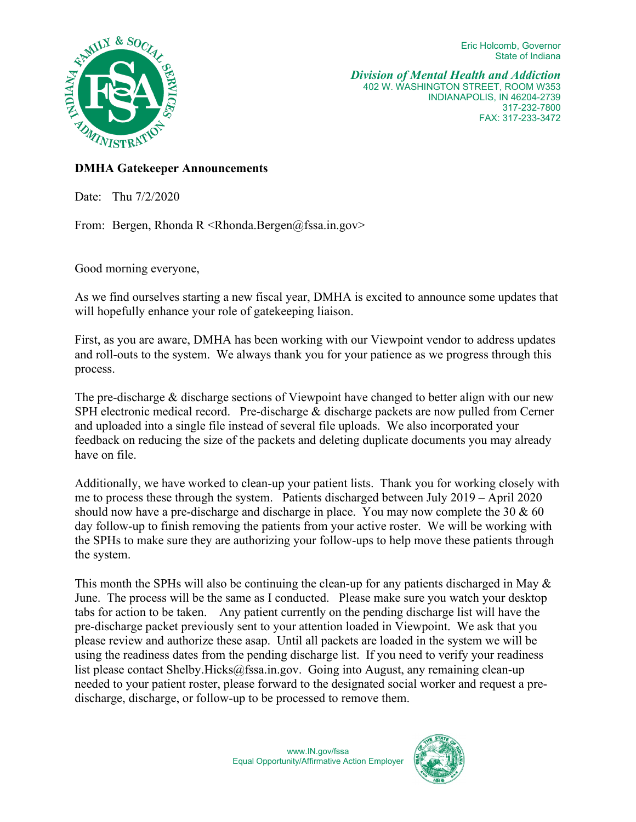Eric Holcomb, Governor State of Indiana



*Division of Mental Health and Addiction*  402 W. WASHINGTON STREET, ROOM W353 INDIANAPOLIS, IN 46204-2739 317-232-7800 FAX: 317-233-3472

## **DMHA Gatekeeper Announcements**

Date: Thu 7/2/2020

From: Bergen, Rhonda R <Rhonda.Bergen@fssa.in.gov>

Good morning everyone,

As we find ourselves starting a new fiscal year, DMHA is excited to announce some updates that will hopefully enhance your role of gatekeeping liaison.

First, as you are aware, DMHA has been working with our Viewpoint vendor to address updates and roll-outs to the system. We always thank you for your patience as we progress through this process.

The pre-discharge & discharge sections of Viewpoint have changed to better align with our new SPH electronic medical record. Pre-discharge & discharge packets are now pulled from Cerner and uploaded into a single file instead of several file uploads. We also incorporated your feedback on reducing the size of the packets and deleting duplicate documents you may already have on file.

Additionally, we have worked to clean-up your patient lists. Thank you for working closely with me to process these through the system. Patients discharged between July 2019 – April 2020 should now have a pre-discharge and discharge in place. You may now complete the 30  $\&$  60 day follow-up to finish removing the patients from your active roster. We will be working with the SPHs to make sure they are authorizing your follow-ups to help move these patients through the system.

This month the SPHs will also be continuing the clean-up for any patients discharged in May & June. The process will be the same as I conducted. Please make sure you watch your desktop tabs for action to be taken. Any patient currently on the pending discharge list will have the pre-discharge packet previously sent to your attention loaded in Viewpoint. We ask that you please review and authorize these asap. Until all packets are loaded in the system we will be using the readiness dates from the pending discharge list. If you need to verify your readiness list please contact [Shelby.Hicks@fssa.in.gov.](mailto:Shelby.Hicks@fssa.in.gov) Going into August, any remaining clean-up needed to your patient roster, please forward to the designated social worker and request a predischarge, discharge, or follow-up to be processed to remove them.